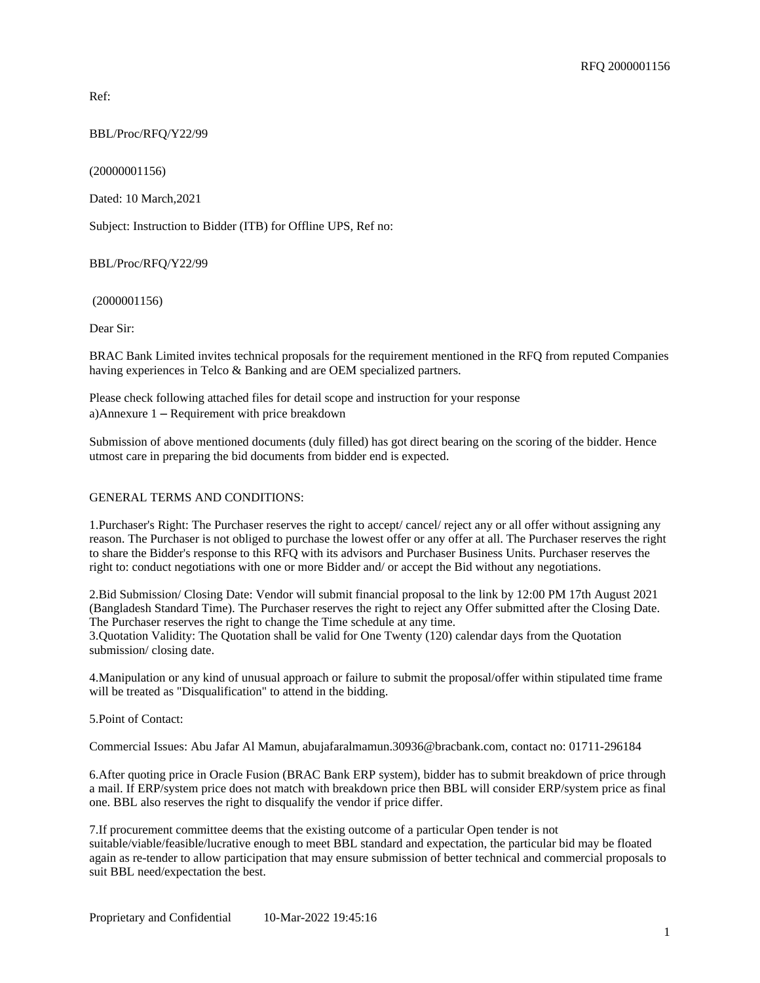Ref:

BBL/Proc/RFQ/Y22/99

(20000001156)

Dated: 10 March,2021

Subject: Instruction to Bidder (ITB) for Offline UPS, Ref no:

BBL/Proc/RFQ/Y22/99

(2000001156)

Dear Sir:

BRAC Bank Limited invites technical proposals for the requirement mentioned in the RFQ from reputed Companies having experiences in Telco & Banking and are OEM specialized partners.

Please check following attached files for detail scope and instruction for your response a)Annexure 1 – Requirement with price breakdown

Submission of above mentioned documents (duly filled) has got direct bearing on the scoring of the bidder. Hence utmost care in preparing the bid documents from bidder end is expected.

#### GENERAL TERMS AND CONDITIONS:

1.Purchaser's Right: The Purchaser reserves the right to accept/ cancel/ reject any or all offer without assigning any reason. The Purchaser is not obliged to purchase the lowest offer or any offer at all. The Purchaser reserves the right to share the Bidder's response to this RFQ with its advisors and Purchaser Business Units. Purchaser reserves the right to: conduct negotiations with one or more Bidder and/ or accept the Bid without any negotiations.

2.Bid Submission/ Closing Date: Vendor will submit financial proposal to the link by 12:00 PM 17th August 2021 (Bangladesh Standard Time). The Purchaser reserves the right to reject any Offer submitted after the Closing Date. The Purchaser reserves the right to change the Time schedule at any time.

3.Quotation Validity: The Quotation shall be valid for One Twenty (120) calendar days from the Quotation submission/ closing date.

4.Manipulation or any kind of unusual approach or failure to submit the proposal/offer within stipulated time frame will be treated as "Disqualification" to attend in the bidding.

5.Point of Contact:

Commercial Issues: Abu Jafar Al Mamun, abujafaralmamun.30936@bracbank.com, contact no: 01711-296184

6.After quoting price in Oracle Fusion (BRAC Bank ERP system), bidder has to submit breakdown of price through a mail. If ERP/system price does not match with breakdown price then BBL will consider ERP/system price as final one. BBL also reserves the right to disqualify the vendor if price differ.

7.If procurement committee deems that the existing outcome of a particular Open tender is not suitable/viable/feasible/lucrative enough to meet BBL standard and expectation, the particular bid may be floated again as re-tender to allow participation that may ensure submission of better technical and commercial proposals to suit BBL need/expectation the best.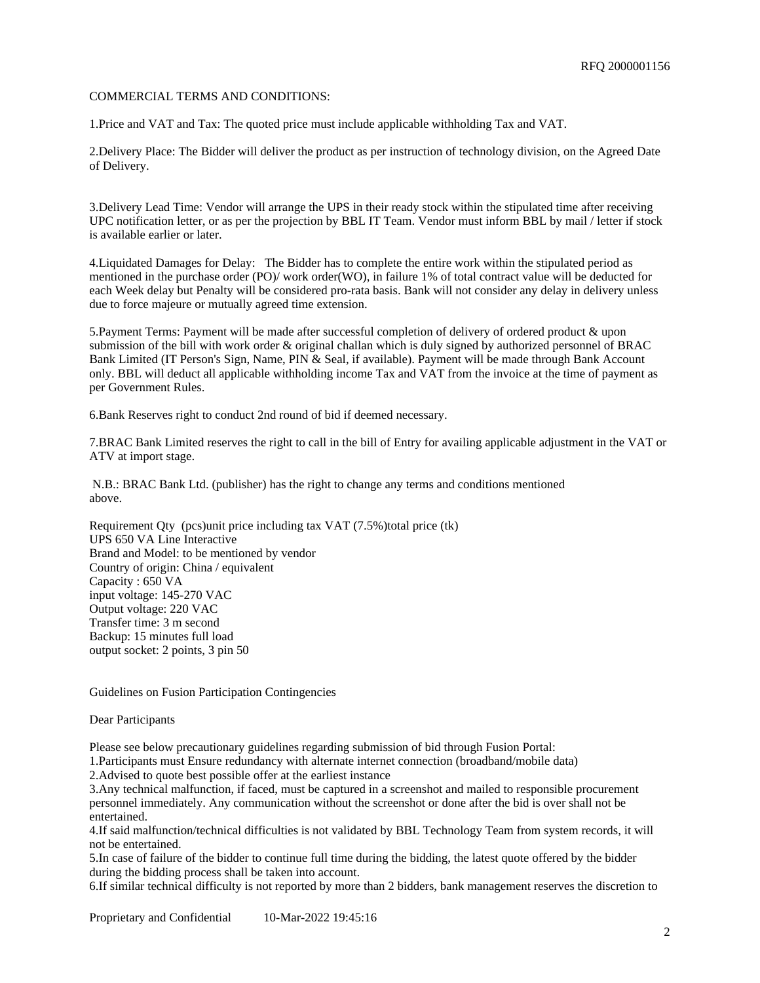#### COMMERCIAL TERMS AND CONDITIONS:

1.Price and VAT and Tax: The quoted price must include applicable withholding Tax and VAT.

2.Delivery Place: The Bidder will deliver the product as per instruction of technology division, on the Agreed Date of Delivery.

3.Delivery Lead Time: Vendor will arrange the UPS in their ready stock within the stipulated time after receiving UPC notification letter, or as per the projection by BBL IT Team. Vendor must inform BBL by mail / letter if stock is available earlier or later.

4.Liquidated Damages for Delay: The Bidder has to complete the entire work within the stipulated period as mentioned in the purchase order (PO)/ work order(WO), in failure 1% of total contract value will be deducted for each Week delay but Penalty will be considered pro-rata basis. Bank will not consider any delay in delivery unless due to force majeure or mutually agreed time extension.

5.Payment Terms: Payment will be made after successful completion of delivery of ordered product & upon submission of the bill with work order & original challan which is duly signed by authorized personnel of BRAC Bank Limited (IT Person's Sign, Name, PIN & Seal, if available). Payment will be made through Bank Account only. BBL will deduct all applicable withholding income Tax and VAT from the invoice at the time of payment as per Government Rules.

6.Bank Reserves right to conduct 2nd round of bid if deemed necessary.

7.BRAC Bank Limited reserves the right to call in the bill of Entry for availing applicable adjustment in the VAT or ATV at import stage.

 N.B.: BRAC Bank Ltd. (publisher) has the right to change any terms and conditions mentioned above.

Requirement Qty (pcs)unit price including tax VAT (7.5%)total price (tk) UPS 650 VA Line Interactive Brand and Model: to be mentioned by vendor Country of origin: China / equivalent Capacity : 650 VA input voltage: 145-270 VAC Output voltage: 220 VAC Transfer time: 3 m second Backup: 15 minutes full load output socket: 2 points, 3 pin 50

Guidelines on Fusion Participation Contingencies

Dear Participants

Please see below precautionary guidelines regarding submission of bid through Fusion Portal:

1.Participants must Ensure redundancy with alternate internet connection (broadband/mobile data)

2.Advised to quote best possible offer at the earliest instance

3.Any technical malfunction, if faced, must be captured in a screenshot and mailed to responsible procurement personnel immediately. Any communication without the screenshot or done after the bid is over shall not be entertained.

4.If said malfunction/technical difficulties is not validated by BBL Technology Team from system records, it will not be entertained.

5.In case of failure of the bidder to continue full time during the bidding, the latest quote offered by the bidder during the bidding process shall be taken into account.

6.If similar technical difficulty is not reported by more than 2 bidders, bank management reserves the discretion to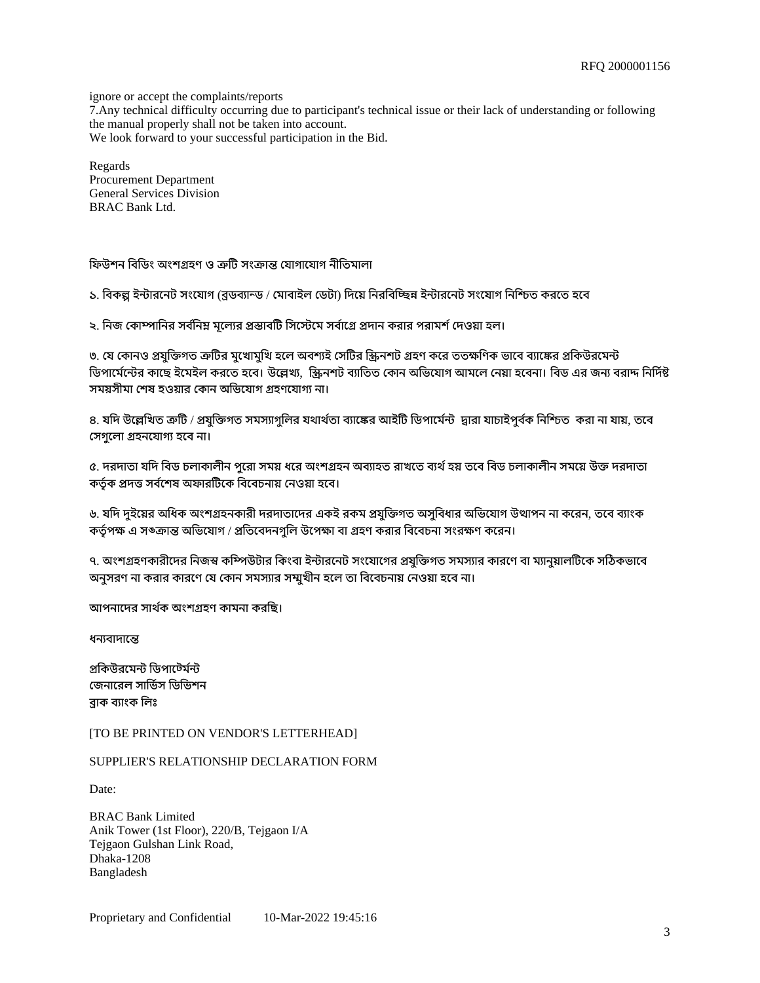ignore or accept the complaints/reports 7.Any technical difficulty occurring due to participant's technical issue or their lack of understanding or following the manual properly shall not be taken into account. We look forward to your successful participation in the Bid.

Regards Procurement Department General Services Division BRAC Bank Ltd.

ফিউশন বিডিং অংশগ্ৰহণ ও ত্ৰুটি সংক্ৰান্ত যোগাযোগ নীতিমালা

১. বিকল্প ইন্টারনেট সংযোগ (ব্রডব্যান্ড / মোবাইল ডেটা) দিয়ে নিরবিচ্ছিন্ন ইন্টারনেট সংযোগ নিশ্চিত করতে হবে

২. নিজ কোম্পানির সর্বনিম্ন মূল্যের প্রস্তাবটি সিস্টেমে সর্বাগ্রে প্রদান করার পরামর্শ দেওয়া হল।

৩. যে কোনও প্রযুক্তিগত ত্রুটির মুখোমুখি হলে অবশ্যই সেটির স্ক্রিনশট গ্রহণ করে ততক্ষণিক ভাবে ব্যাঙ্কের প্রকিউরমেন্ট ডিপার্মেন্টের কাছে ইমেইল করতে হবে। উল্লেখ্য, স্ক্রিনশট ব্যাতিত কোন অভিযোগ আমলে নেয়া হবেনা। বিড এর জন্য বরাদ্দ নির্দিষ্ট সময়সীমা শেষ হওয়ার কোন অভিযোগ গ্রহণযোগ্য না।

৪. যদি উল্লেখিত ত্রুটি / প্রযুক্তিগত সমস্যাগুলির যথার্থতা ব্যাঙ্কের আইটি ডিপার্মেন্ট দ্বারা যাচাইপুর্বক নিশ্চিত করা না যায়, তবে সেগলো গ্ৰহনযোগ্য হবে না।

৫. দরদাতা যদি বিড চলাকালীন পুরো সময় ধরে অংশগ্রহন অব্যাহত রাখতে ব্যর্থ হয় তবে বিড চলাকালীন সময়ে উক্ত দরদাতা কর্তৃক প্রদত্ত সর্বশেষ অফারটিকে বিবেচনায় নেওয়া হবে।

৬. যদি দুইয়ের অধিক অংশগ্রহনকারী দরদাতাদের একই রকম প্রযুক্তিগত অসুবিধার অভিযোগ উত্থাপন না করেন, তবে ব্যাংক কর্তৃপক্ষ এ সঙ্ক্রান্ত অভিযোগ / প্রতিবেদনগুলি উপেক্ষা বা গ্রহণ করার বিবেচনা সংরক্ষণ করেন।

৭. অংশগ্রহণকারীদের নিজস্ব কম্পিউটার কিংবা ইন্টারনেট সংযোগের প্রযক্তিগত সমস্যার কারণে বা ম্যানুয়ালটিকে সঠিকভাবে অনুসরণ না করার কারণে যে কোন সমস্যার সম্মুখীন হলে তা বিবেচনায় নেওয়া হবে না।

আপনাোদর সাথরক অংশগহণ কামনা করিছ।

ধন্যবাদান্তে

পকিউরমেন্ট ডিপাট্টের্মন্ট জেনাবেল সার্ভিস ডিভিশন বাক বযাংক িলঃ

[TO BE PRINTED ON VENDOR'S LETTERHEAD]

SUPPLIER'S RELATIONSHIP DECLARATION FORM

Date:

BRAC Bank Limited Anik Tower (1st Floor), 220/B, Tejgaon I/A Tejgaon Gulshan Link Road, Dhaka-1208 Bangladesh

Proprietary and Confidential 10-Mar-2022 19:45:16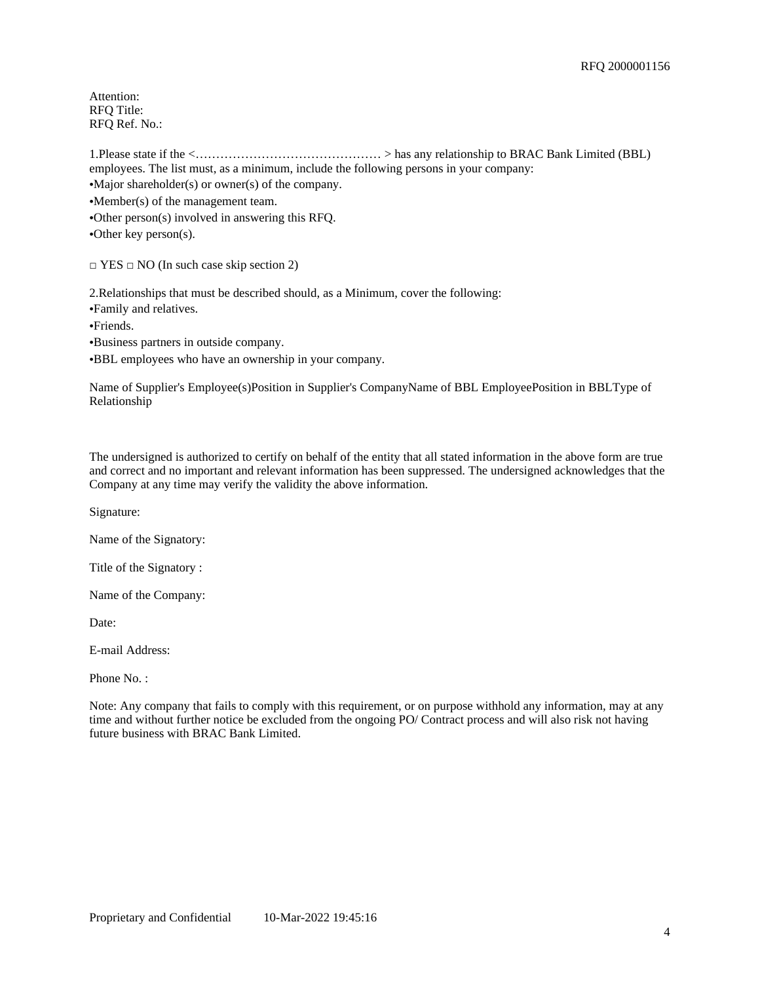Attention: RFQ Title: RFQ Ref. No.:

1.Please state if the <……………………………………… > has any relationship to BRAC Bank Limited (BBL) employees. The list must, as a minimum, include the following persons in your company:

•Major shareholder(s) or owner(s) of the company.

•Member(s) of the management team.

•Other person(s) involved in answering this RFQ.

•Other key person(s).

□ YES □ NO (In such case skip section 2)

2.Relationships that must be described should, as a Minimum, cover the following:

•Family and relatives.

•Friends.

•Business partners in outside company.

•BBL employees who have an ownership in your company.

Name of Supplier's Employee(s)Position in Supplier's CompanyName of BBL EmployeePosition in BBLType of Relationship

The undersigned is authorized to certify on behalf of the entity that all stated information in the above form are true and correct and no important and relevant information has been suppressed. The undersigned acknowledges that the Company at any time may verify the validity the above information.

Signature:

Name of the Signatory:

Title of the Signatory :

Name of the Company:

Date:

E-mail Address:

Phone No.:

Note: Any company that fails to comply with this requirement, or on purpose withhold any information, may at any time and without further notice be excluded from the ongoing PO/ Contract process and will also risk not having future business with BRAC Bank Limited.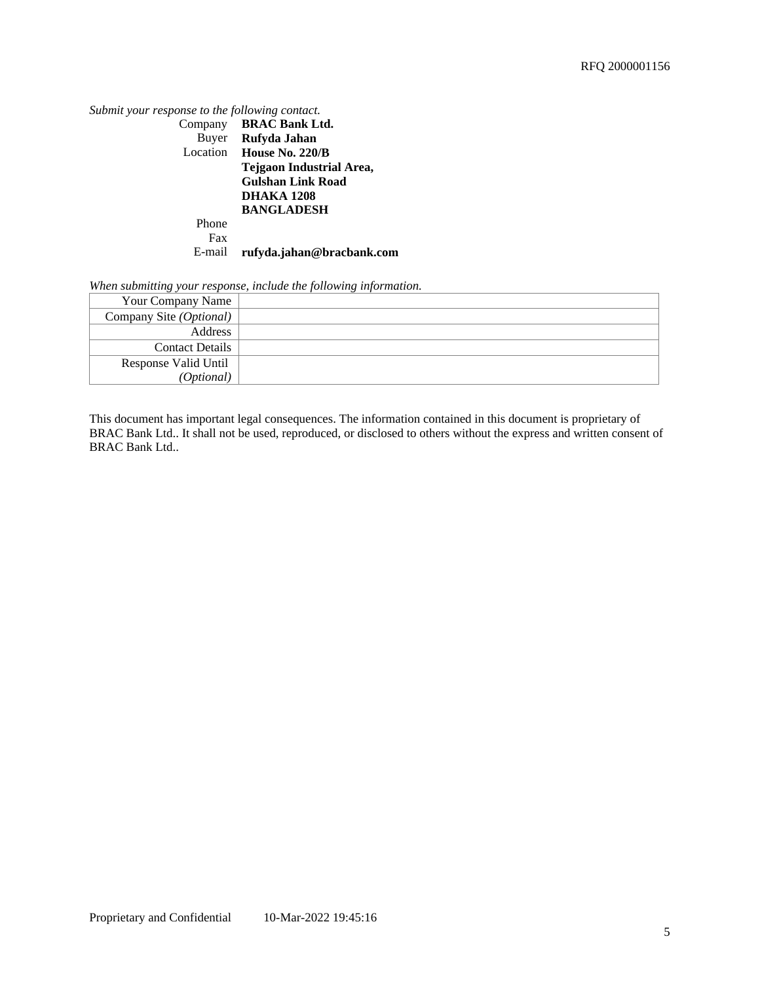| Submit your response to the following contact. |                                 |
|------------------------------------------------|---------------------------------|
|                                                | Company BRAC Bank Ltd.          |
|                                                | Buyer Rufyda Jahan              |
|                                                | Location House No. 220/B        |
|                                                | <b>Tejgaon Industrial Area,</b> |
|                                                | <b>Gulshan Link Road</b>        |
|                                                | <b>DHAKA 1208</b>               |
|                                                | <b>BANGLADESH</b>               |
| Phone                                          |                                 |
| Fax                                            |                                 |
| E-mail                                         | rufyda.jahan@bracbank.com       |

*When submitting your response, include the following information.*

| $\sim$                  |  |
|-------------------------|--|
| Your Company Name       |  |
| Company Site (Optional) |  |
| <b>Address</b>          |  |
| <b>Contact Details</b>  |  |
| Response Valid Until    |  |
| (Optional)              |  |

This document has important legal consequences. The information contained in this document is proprietary of BRAC Bank Ltd.. It shall not be used, reproduced, or disclosed to others without the express and written consent of BRAC Bank Ltd..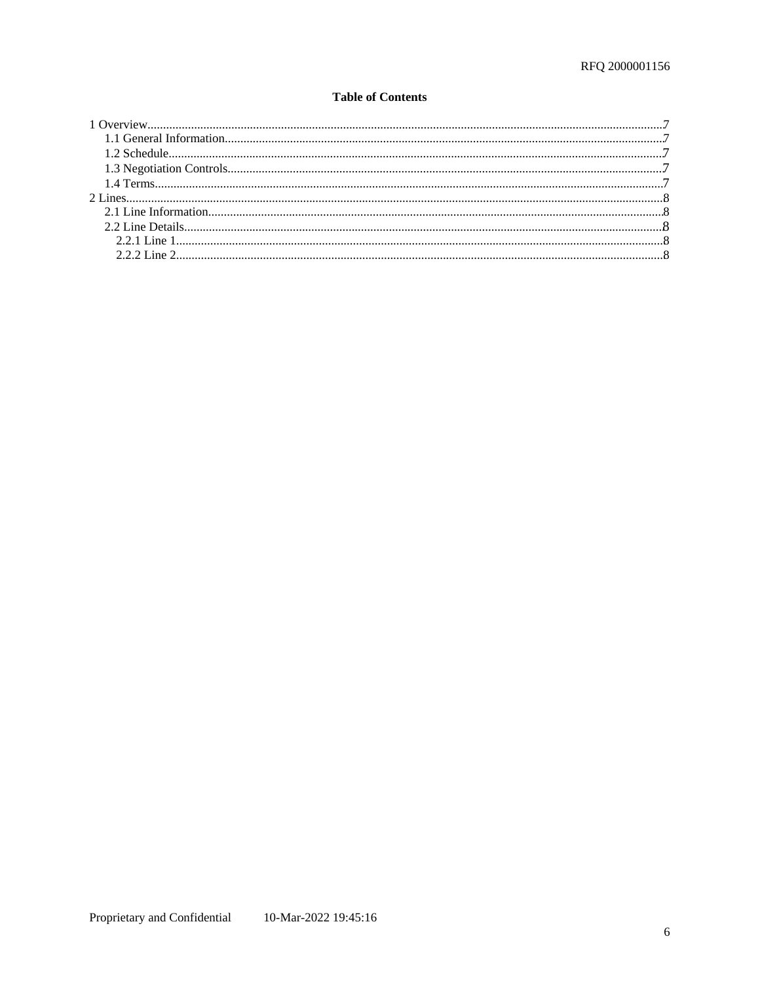### **Table of Contents**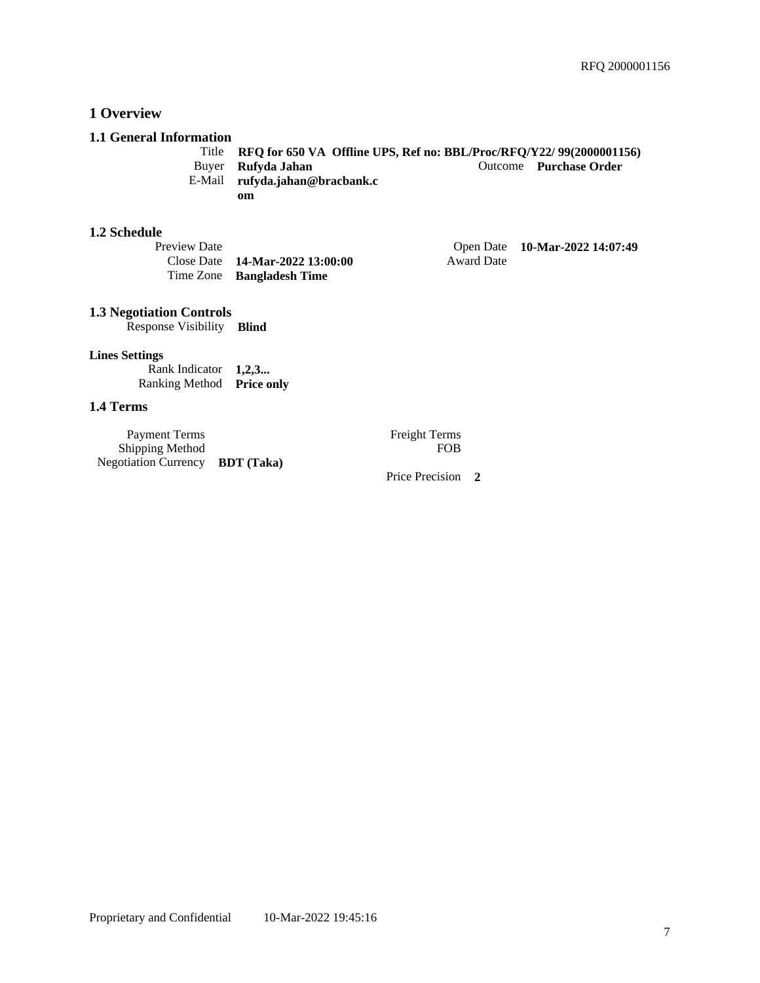## <span id="page-6-0"></span>**1 Overview**

#### <span id="page-6-1"></span>**1.1 General Information**

Title **RFQ for 650 VA Offline UPS, Ref no: BBL/Proc/RFQ/Y22/ 99(2000001156) Outcome Purchase Order** E-Mail **rufyda.jahan@bracbank.c om**

#### <span id="page-6-2"></span>**1.2 Schedule**

| Preview Date |                                           |            | Open Date 10-Mar-2022 14:07:49 |
|--------------|-------------------------------------------|------------|--------------------------------|
|              | Close Date $14\text{-}Mar-2022\,13:00:00$ | Award Date |                                |
|              | Time Zone Bangladesh Time                 |            |                                |

#### <span id="page-6-3"></span>**1.3 Negotiation Controls**

Response Visibility **Blind**

### **Lines Settings**

Rank Indicator **1,2,3...** Ranking Method **Price only**

# <span id="page-6-4"></span>**1.4 Terms**

| Payment Terms                   | <b>Freight Terms</b> |
|---------------------------------|----------------------|
| <b>Shipping Method</b>          | <b>FOB</b>           |
| Negotiation Currency BDT (Taka) |                      |

Freight Terms<br>FOB

Price Precision **2**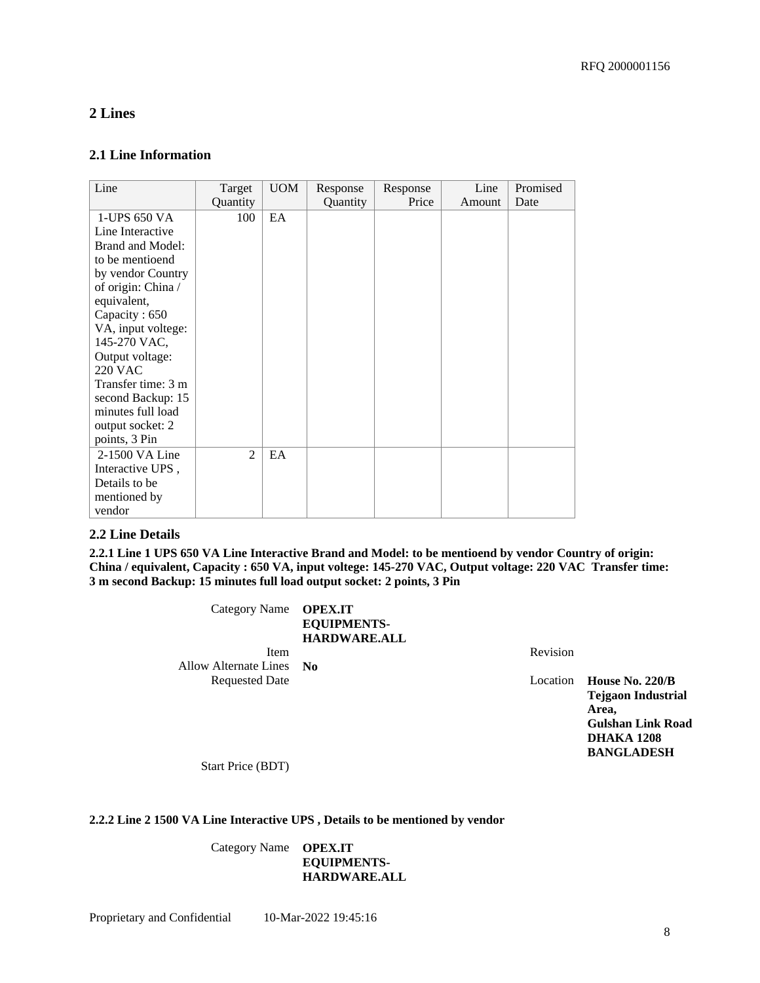## <span id="page-7-0"></span>**2 Lines**

### <span id="page-7-1"></span>**2.1 Line Information**

| Quantity<br>100 |    | Quantity | Price | Amount | Date |
|-----------------|----|----------|-------|--------|------|
|                 | EA |          |       |        |      |
|                 |    |          |       |        |      |
|                 |    |          |       |        |      |
|                 |    |          |       |        |      |
|                 |    |          |       |        |      |
|                 |    |          |       |        |      |
|                 |    |          |       |        |      |
| $\overline{2}$  | EA |          |       |        |      |
|                 |    |          |       |        |      |

#### <span id="page-7-2"></span>**2.2 Line Details**

<span id="page-7-3"></span>**2.2.1 Line 1 UPS 650 VA Line Interactive Brand and Model: to be mentioend by vendor Country of origin: China / equivalent, Capacity : 650 VA, input voltege: 145-270 VAC, Output voltage: 220 VAC Transfer time: 3 m second Backup: 15 minutes full load output socket: 2 points, 3 Pin** 

> Category Name **OPEX.IT EQUIPMENTS-HARDWARE.ALL** Item Revision

Allow Alternate Lines **No**

Location **House No. 220/B Tejgaon Industrial Area, Gulshan Link Road DHAKA 1208 BANGLADESH**

Start Price (BDT)

#### <span id="page-7-4"></span>**2.2.2 Line 2 1500 VA Line Interactive UPS , Details to be mentioned by vendor**

Category Name **OPEX.IT EQUIPMENTS-HARDWARE.ALL**